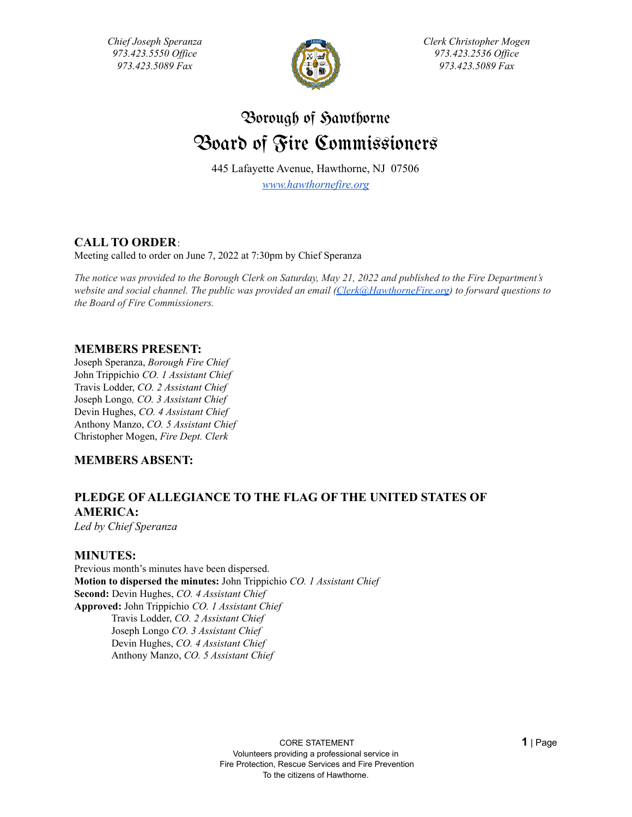*Chief Joseph Speranza 973.423.5550 Of ice 973.423.5089 Fax*



*Clerk Christopher Mogen 973.423.2536 Of ice 973.423.5089 Fax*

# Borough of Sawthorne Board of Fire Commissioners

445 Lafayette Avenue, Hawthorne, NJ 07506 *[www.hawthornefire.org](http://www.hawthornefire.org)*

**CALL TO ORDER**:

Meeting called to order on June 7, 2022 at 7:30pm by Chief Speranza

The notice was provided to the Borough Clerk on Saturday, May 21, 2022 and published to the Fire Department's *website and social channel. The public was provided an email [\(Clerk@HawthorneFire.org](mailto:Clerk@HawthorneFire.org)) to forward questions to the Board of Fire Commissioners.*

## **MEMBERS PRESENT:**

Joseph Speranza, *Borough Fire Chief* John Trippichio *CO. 1 Assistant Chief* Travis Lodder, *CO. 2 Assistant Chief* Joseph Longo*, CO. 3 Assistant Chief* Devin Hughes, *CO. 4 Assistant Chief* Anthony Manzo, *CO. 5 Assistant Chief* Christopher Mogen, *Fire Dept. Clerk*

## **MEMBERS ABSENT:**

## **PLEDGE OF ALLEGIANCE TO THE FLAG OF THE UNITED STATES OF AMERICA:**

*Led by Chief Speranza*

## **MINUTES:**

Previous month's minutes have been dispersed. **Motion to dispersed the minutes:** John Trippichio *CO. 1 Assistant Chief* **Second:** Devin Hughes, *CO. 4 Assistant Chief* **Approved:** John Trippichio *CO. 1 Assistant Chief* Travis Lodder, *CO. 2 Assistant Chief* Joseph Longo *CO. 3 Assistant Chief* Devin Hughes, *CO. 4 Assistant Chief* Anthony Manzo, *CO. 5 Assistant Chief*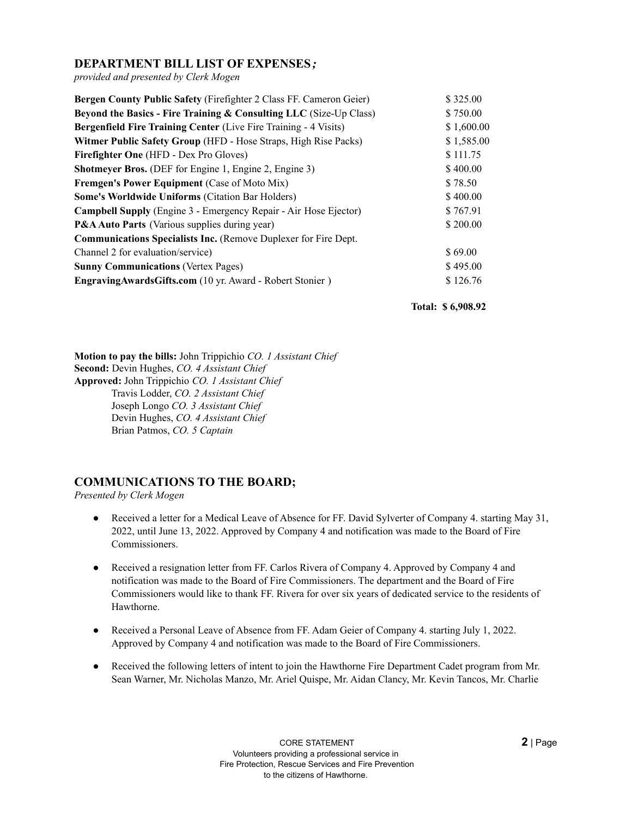## **DEPARTMENT BILL LIST OF EXPENSES***;*

*provided and presented by Clerk Mogen*

| Bergen County Public Safety (Firefighter 2 Class FF. Cameron Geier)     | \$325.00   |
|-------------------------------------------------------------------------|------------|
| Beyond the Basics - Fire Training & Consulting LLC (Size-Up Class)      | \$750.00   |
| <b>Bergenfield Fire Training Center (Live Fire Training - 4 Visits)</b> | \$1,600.00 |
| Witmer Public Safety Group (HFD - Hose Straps, High Rise Packs)         | \$1,585.00 |
| <b>Firefighter One</b> (HFD - Dex Pro Gloves)                           | \$111.75   |
| <b>Shotmeyer Bros.</b> (DEF for Engine 1, Engine 2, Engine 3)           | \$400.00   |
| Fremgen's Power Equipment (Case of Moto Mix)                            | \$78.50    |
| <b>Some's Worldwide Uniforms (Citation Bar Holders)</b>                 | \$400.00   |
| <b>Campbell Supply</b> (Engine 3 - Emergency Repair - Air Hose Ejector) | \$767.91   |
| <b>P&amp;A Auto Parts</b> (Various supplies during year)                | \$200.00   |
| <b>Communications Specialists Inc.</b> (Remove Duplexer for Fire Dept.  |            |
| Channel 2 for evaluation/service)                                       | \$69.00    |
| <b>Sunny Communications (Vertex Pages)</b>                              | \$495.00   |
| EngravingAwardsGifts.com (10 yr. Award - Robert Stonier)                | \$126.76   |

**Total: \$ 6,908.92**

**Motion to pay the bills:** John Trippichio *CO. 1 Assistant Chief* **Second:** Devin Hughes, *CO. 4 Assistant Chief* **Approved:** John Trippichio *CO. 1 Assistant Chief* Travis Lodder, *CO. 2 Assistant Chief* Joseph Longo *CO. 3 Assistant Chief* Devin Hughes, *CO. 4 Assistant Chief* Brian Patmos, *CO. 5 Captain*

## **COMMUNICATIONS TO THE BOARD;**

*Presented by Clerk Mogen*

- Received a letter for a Medical Leave of Absence for FF. David Sylverter of Company 4. starting May 31, 2022, until June 13, 2022. Approved by Company 4 and notification was made to the Board of Fire Commissioners.
- Received a resignation letter from FF. Carlos Rivera of Company 4. Approved by Company 4 and notification was made to the Board of Fire Commissioners. The department and the Board of Fire Commissioners would like to thank FF. Rivera for over six years of dedicated service to the residents of Hawthorne.
- Received a Personal Leave of Absence from FF. Adam Geier of Company 4. starting July 1, 2022. Approved by Company 4 and notification was made to the Board of Fire Commissioners.
- Received the following letters of intent to join the Hawthorne Fire Department Cadet program from Mr. Sean Warner, Mr. Nicholas Manzo, Mr. Ariel Quispe, Mr. Aidan Clancy, Mr. Kevin Tancos, Mr. Charlie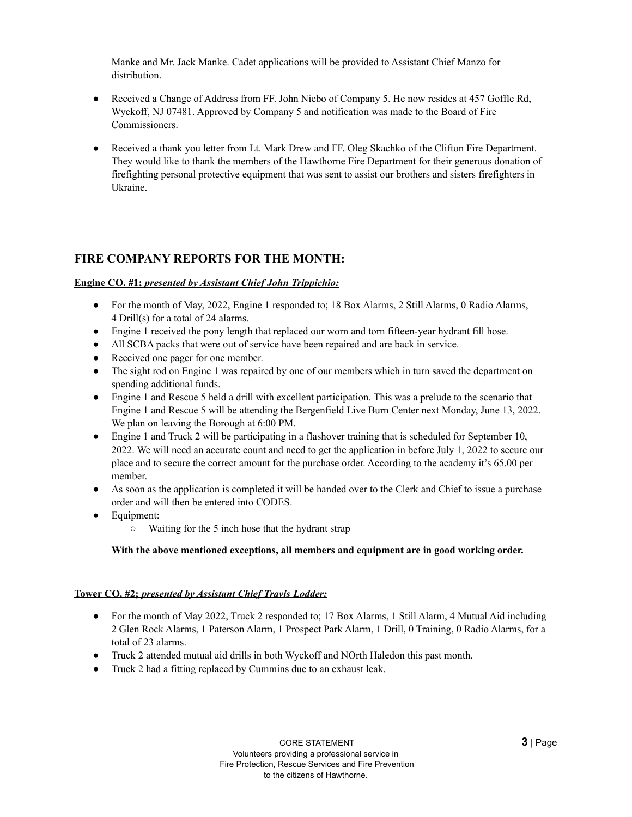Manke and Mr. Jack Manke. Cadet applications will be provided to Assistant Chief Manzo for distribution.

- Received a Change of Address from FF. John Niebo of Company 5. He now resides at 457 Goffle Rd, Wyckoff, NJ 07481. Approved by Company 5 and notification was made to the Board of Fire Commissioners.
- Received a thank you letter from Lt. Mark Drew and FF. Oleg Skachko of the Clifton Fire Department. They would like to thank the members of the Hawthorne Fire Department for their generous donation of firefighting personal protective equipment that was sent to assist our brothers and sisters firefighters in Ukraine.

## **FIRE COMPANY REPORTS FOR THE MONTH:**

### **Engine CO. #1;** *presented by Assistant Chief John Trippichio:*

- For the month of May, 2022, Engine 1 responded to; 18 Box Alarms, 2 Still Alarms, 0 Radio Alarms, 4 Drill(s) for a total of 24 alarms.
- Engine 1 received the pony length that replaced our worn and torn fifteen-year hydrant fill hose.
- All SCBA packs that were out of service have been repaired and are back in service.
- Received one pager for one member.
- The sight rod on Engine 1 was repaired by one of our members which in turn saved the department on spending additional funds.
- Engine 1 and Rescue 5 held a drill with excellent participation. This was a prelude to the scenario that Engine 1 and Rescue 5 will be attending the Bergenfield Live Burn Center next Monday, June 13, 2022. We plan on leaving the Borough at 6:00 PM.
- Engine 1 and Truck 2 will be participating in a flashover training that is scheduled for September 10, 2022. We will need an accurate count and need to get the application in before July 1, 2022 to secure our place and to secure the correct amount for the purchase order. According to the academy it's 65.00 per member.
- As soon as the application is completed it will be handed over to the Clerk and Chief to issue a purchase order and will then be entered into CODES.
- Equipment:
	- Waiting for the 5 inch hose that the hydrant strap

#### **With the above mentioned exceptions, all members and equipment are in good working order.**

#### **Tower CO. #2;** *presented by Assistant Chief Travis Lodder:*

- For the month of May 2022, Truck 2 responded to; 17 Box Alarms, 1 Still Alarm, 4 Mutual Aid including 2 Glen Rock Alarms, 1 Paterson Alarm, 1 Prospect Park Alarm, 1 Drill, 0 Training, 0 Radio Alarms, for a total of 23 alarms.
- Truck 2 attended mutual aid drills in both Wyckoff and NOrth Haledon this past month.
- Truck 2 had a fitting replaced by Cummins due to an exhaust leak.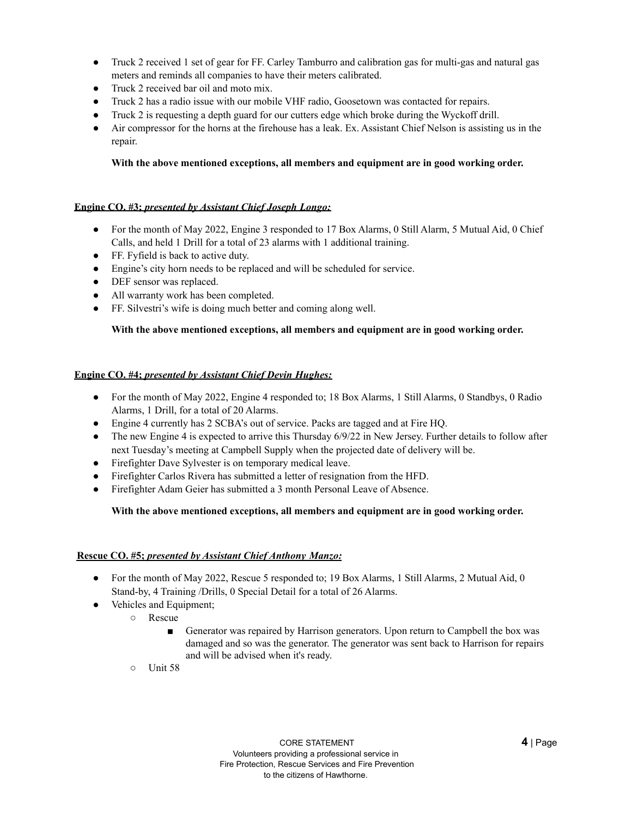- Truck 2 received 1 set of gear for FF. Carley Tamburro and calibration gas for multi-gas and natural gas meters and reminds all companies to have their meters calibrated.
- Truck 2 received bar oil and moto mix.
- Truck 2 has a radio issue with our mobile VHF radio, Goosetown was contacted for repairs.
- Truck 2 is requesting a depth guard for our cutters edge which broke during the Wyckoff drill.
- Air compressor for the horns at the firehouse has a leak. Ex. Assistant Chief Nelson is assisting us in the repair.

### **With the above mentioned exceptions, all members and equipment are in good working order.**

### **Engine CO. #3;** *presented by Assistant Chief Joseph Longo:*

- For the month of May 2022, Engine 3 responded to 17 Box Alarms, 0 Still Alarm, 5 Mutual Aid, 0 Chief Calls, and held 1 Drill for a total of 23 alarms with 1 additional training.
- FF. Fyfield is back to active duty.
- Engine's city horn needs to be replaced and will be scheduled for service.
- DEF sensor was replaced.
- All warranty work has been completed.
- FF. Silvestri's wife is doing much better and coming along well.

#### **With the above mentioned exceptions, all members and equipment are in good working order.**

#### **Engine CO. #4;** *presented by Assistant Chief Devin Hughes:*

- For the month of May 2022, Engine 4 responded to; 18 Box Alarms, 1 Still Alarms, 0 Standbys, 0 Radio Alarms, 1 Drill, for a total of 20 Alarms.
- Engine 4 currently has 2 SCBA's out of service. Packs are tagged and at Fire HQ.
- The new Engine 4 is expected to arrive this Thursday 6/9/22 in New Jersey. Further details to follow after next Tuesday's meeting at Campbell Supply when the projected date of delivery will be.
- Firefighter Dave Sylvester is on temporary medical leave.
- Firefighter Carlos Rivera has submitted a letter of resignation from the HFD.
- Firefighter Adam Geier has submitted a 3 month Personal Leave of Absence.

#### **With the above mentioned exceptions, all members and equipment are in good working order.**

#### **Rescue CO. #5;** *presented by Assistant Chief Anthony Manzo:*

- For the month of May 2022, Rescue 5 responded to; 19 Box Alarms, 1 Still Alarms, 2 Mutual Aid, 0 Stand-by, 4 Training /Drills, 0 Special Detail for a total of 26 Alarms.
- Vehicles and Equipment;
	- Rescue
		- Generator was repaired by Harrison generators. Upon return to Campbell the box was damaged and so was the generator. The generator was sent back to Harrison for repairs and will be advised when it's ready.
	- Unit 58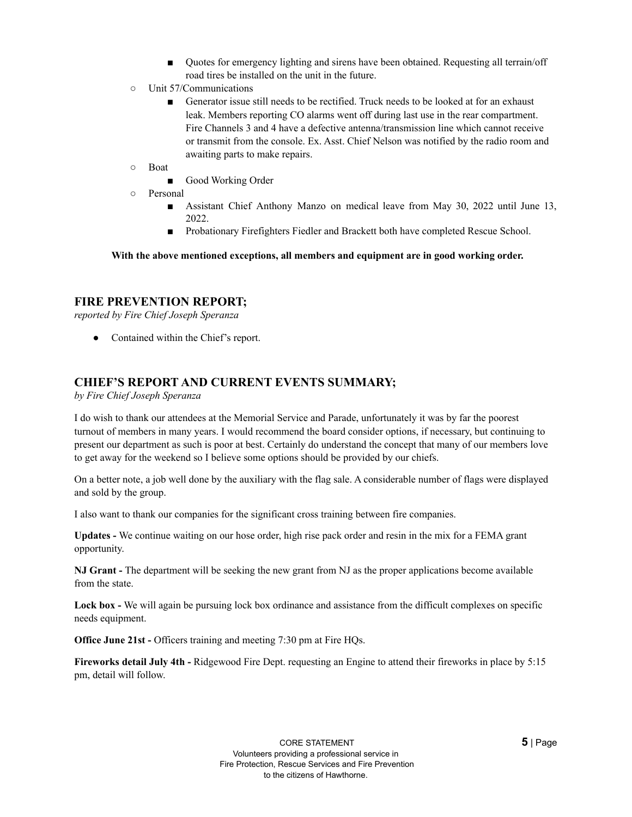- Quotes for emergency lighting and sirens have been obtained. Requesting all terrain/off road tires be installed on the unit in the future.
- Unit 57/Communications
	- Generator issue still needs to be rectified. Truck needs to be looked at for an exhaust leak. Members reporting CO alarms went off during last use in the rear compartment. Fire Channels 3 and 4 have a defective antenna/transmission line which cannot receive or transmit from the console. Ex. Asst. Chief Nelson was notified by the radio room and awaiting parts to make repairs.
- Boat
	- Good Working Order
- Personal
	- Assistant Chief Anthony Manzo on medical leave from May 30, 2022 until June 13, 2022.
	- Probationary Firefighters Fiedler and Brackett both have completed Rescue School.

**With the above mentioned exceptions, all members and equipment are in good working order.**

## **FIRE PREVENTION REPORT;**

*reported by Fire Chief Joseph Speranza*

• Contained within the Chief's report.

## **CHIEF'S REPORT AND CURRENT EVENTS SUMMARY;**

*by Fire Chief Joseph Speranza*

I do wish to thank our attendees at the Memorial Service and Parade, unfortunately it was by far the poorest turnout of members in many years. I would recommend the board consider options, if necessary, but continuing to present our department as such is poor at best. Certainly do understand the concept that many of our members love to get away for the weekend so I believe some options should be provided by our chiefs.

On a better note, a job well done by the auxiliary with the flag sale. A considerable number of flags were displayed and sold by the group.

I also want to thank our companies for the significant cross training between fire companies.

**Updates -** We continue waiting on our hose order, high rise pack order and resin in the mix for a FEMA grant opportunity.

**NJ Grant -** The department will be seeking the new grant from NJ as the proper applications become available from the state.

**Lock box -** We will again be pursuing lock box ordinance and assistance from the difficult complexes on specific needs equipment.

**Office June 21st -** Officers training and meeting 7:30 pm at Fire HQs.

**Fireworks detail July 4th -** Ridgewood Fire Dept. requesting an Engine to attend their fireworks in place by 5:15 pm, detail will follow.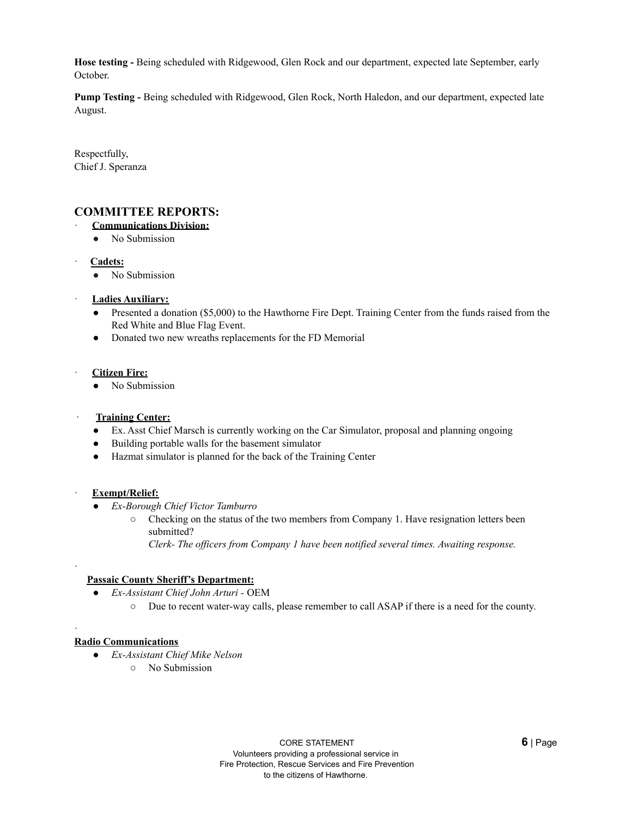**Hose testing -** Being scheduled with Ridgewood, Glen Rock and our department, expected late September, early October.

**Pump Testing -** Being scheduled with Ridgewood, Glen Rock, North Haledon, and our department, expected late August.

Respectfully, Chief J. Speranza

## **COMMITTEE REPORTS:**

- · **Communications Division:**
	- No Submission
- · **Cadets:**
	- No Submission
- · **Ladies Auxiliary:**
	- Presented a donation (\$5,000) to the Hawthorne Fire Dept. Training Center from the funds raised from the Red White and Blue Flag Event.
	- Donated two new wreaths replacements for the FD Memorial
- · **Citizen Fire:**
	- No Submission

#### · **Training Center:**

- Ex. Asst Chief Marsch is currently working on the Car Simulator, proposal and planning ongoing
- Building portable walls for the basement simulator
- Hazmat simulator is planned for the back of the Training Center

#### · **Exempt/Relief:**

·

·

- *Ex-Borough Chief Victor Tamburro*
	- Checking on the status of the two members from Company 1. Have resignation letters been submitted?

*Clerk- The of icers from Company 1 have been notified several times. Awaiting response.*

#### **Passaic County Sheriff's Department:**

- *Ex-Assistant Chief John Arturi -* OEM
	- Due to recent water-way calls, please remember to call ASAP if there is a need for the county.

#### **Radio Communications**

- *Ex-Assistant Chief Mike Nelson*
	- No Submission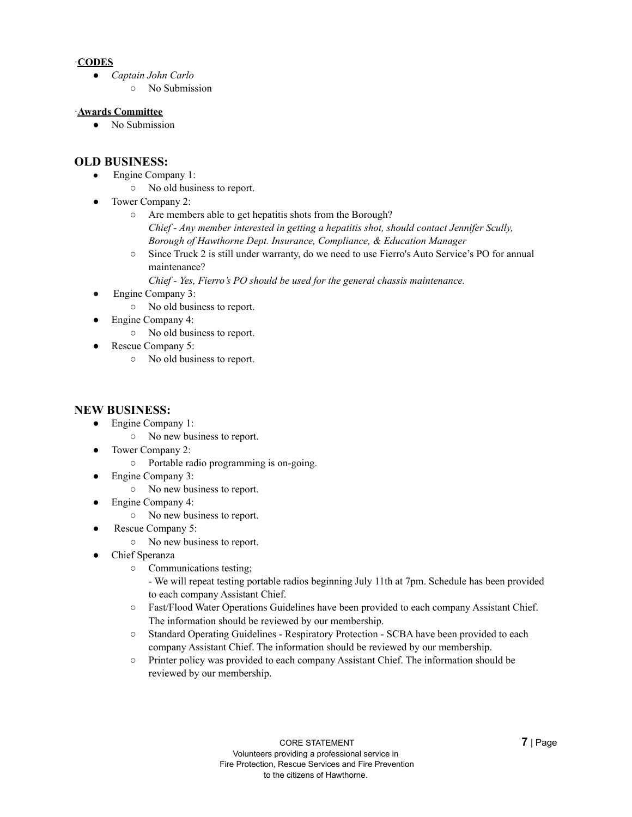## ·**CODES**

- *Captain John Carlo*
	- No Submission

### ·**Awards Committee**

● No Submission

## **OLD BUSINESS:**

- Engine Company 1:
	- No old business to report.
- Tower Company 2:
	- Are members able to get hepatitis shots from the Borough? *Chief - Any member interested in getting a hepatitis shot, should contact Jennifer Scully, Borough of Hawthorne Dept. Insurance, Compliance, & Education Manager*
	- Since Truck 2 is still under warranty, do we need to use Fierro's Auto Service's PO for annual maintenance?

*Chief - Yes, Fierro's PO should be used for the general chassis maintenance.*

- Engine Company 3:
	- No old business to report.
	- Engine Company 4:
		- No old business to report.
- Rescue Company 5:
	- No old business to report.

## **NEW BUSINESS:**

- Engine Company 1:
	- No new business to report.
- Tower Company 2:
	- Portable radio programming is on-going.
- Engine Company 3:
	- No new business to report.
- Engine Company 4:
	- No new business to report.
- Rescue Company 5:
	- No new business to report.
- Chief Speranza
	- Communications testing;
		- We will repeat testing portable radios beginning July 11th at 7pm. Schedule has been provided to each company Assistant Chief.
	- Fast/Flood Water Operations Guidelines have been provided to each company Assistant Chief. The information should be reviewed by our membership.
	- Standard Operating Guidelines Respiratory Protection SCBA have been provided to each company Assistant Chief. The information should be reviewed by our membership.
	- Printer policy was provided to each company Assistant Chief. The information should be reviewed by our membership.